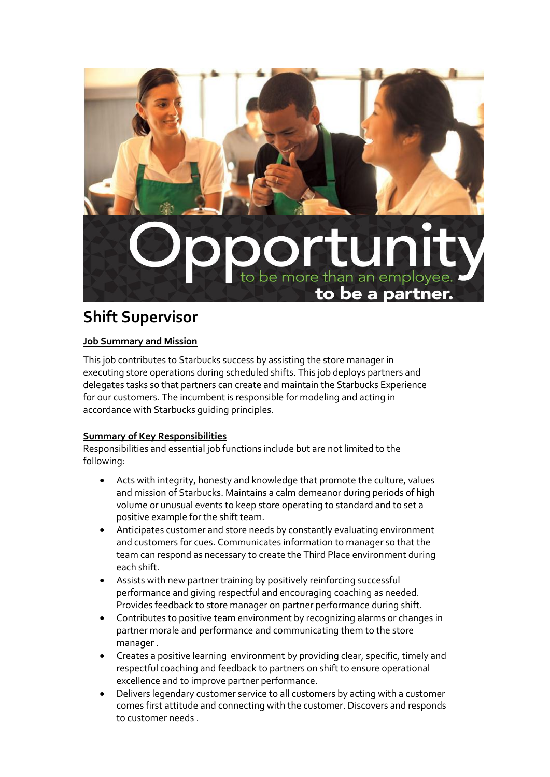

# **Shift Supervisor**

## **Job Summary and Mission**

This job contributes to Starbucks success by assisting the store manager in executing store operations during scheduled shifts. This job deploys partners and delegates tasks so that partners can create and maintain the Starbucks Experience for our customers. The incumbent is responsible for modeling and acting in accordance with Starbucks guiding principles.

## **Summary of Key Responsibilities**

Responsibilities and essential job functions include but are not limited to the following:

- Acts with integrity, honesty and knowledge that promote the culture, values and mission of Starbucks. Maintains a calm demeanor during periods of high volume or unusual events to keep store operating to standard and to set a positive example for the shift team.
- Anticipates customer and store needs by constantly evaluating environment and customers for cues. Communicates information to manager so that the team can respond as necessary to create the Third Place environment during each shift.
- Assists with new partner training by positively reinforcing successful performance and giving respectful and encouraging coaching as needed. Provides feedback to store manager on partner performance during shift.
- Contributes to positive team environment by recognizing alarms or changes in partner morale and performance and communicating them to the store manager .
- Creates a positive learning environment by providing clear, specific, timely and respectful coaching and feedback to partners on shift to ensure operational excellence and to improve partner performance.
- Delivers legendary customer service to all customers by acting with a customer comes first attitude and connecting with the customer. Discovers and responds to customer needs .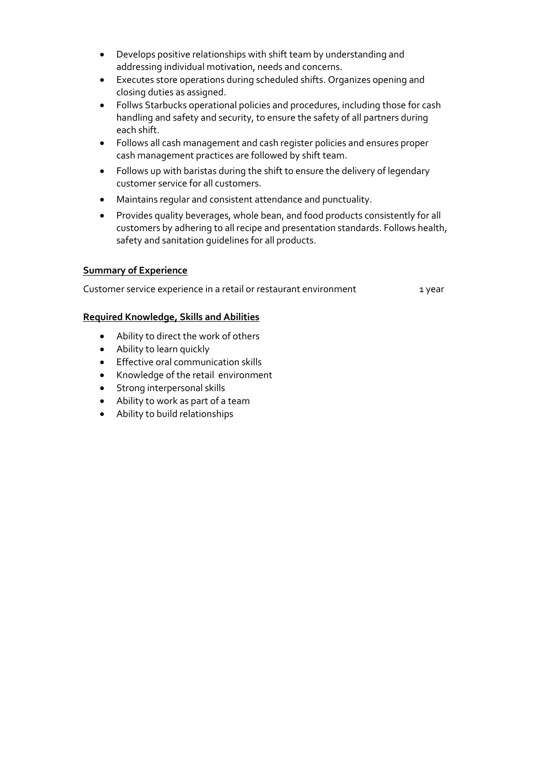- Develops positive relationships with shift team by understanding and addressing individual motivation, needs and concerns.
- Executes store operations during scheduled shifts. Organizes opening and closing duties as assigned.
- Follws Starbucks operational policies and procedures, including those for cash handling and safety and security, to ensure the safety of all partners during each shift.
- Follows all cash management and cash register policies and ensures proper cash management practices are followed by shift team.
- Follows up with baristas during the shift to ensure the delivery of legendary customer service for all customers.
- Maintains regular and consistent attendance and punctuality.
- Provides quality beverages, whole bean, and food products consistently for all customers by adhering to all recipe and presentation standards. Follows health, safety and sanitation guidelines for all products.

### **Summary of Experience**

Customer service experience in a retail or restaurant environment 1 year

#### **Required Knowledge, Skills and Abilities**

- Ability to direct the work of others
- Ability to learn quickly
- **•** Effective oral communication skills
- Knowledge of the retail environment
- Strong interpersonal skills
- Ability to work as part of a team
- Ability to build relationships